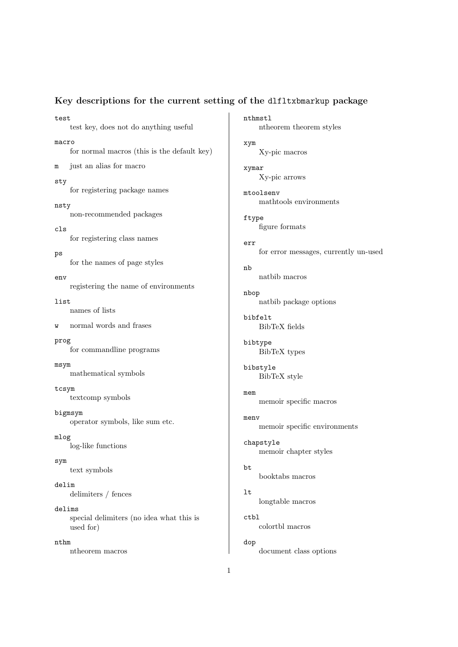## Key descriptions for the current setting of the dlfltxbmarkup package

nthmstl

test test key, does not do anything useful macro for normal macros (this is the default key) m just an alias for macro sty for registering package names nsty non-recommended packages cls for registering class names ps for the names of page styles env registering the name of environments list names of lists w normal words and frases prog for commandline programs msym mathematical symbols tcsym textcomp symbols bigmsym operator symbols, like sum etc. mlog log-like functions sym text symbols delim delimiters / fences delims special delimiters (no idea what this is used for) nthm

ntheorem macros

ntheorem theorem styles xym Xy-pic macros xymar Xy-pic arrows mtoolsenv mathtools environments ftype figure formats err for error messages, currently un-used nb natbib macros nbop natbib package options bibfelt BibTeX fields bibtype BibTeX types bibstyle BibTeX style mem memoir specific macros menv memoir specific environments chapstyle memoir chapter styles bt booktabs macros lt longtable macros ctbl colortbl macros dop document class options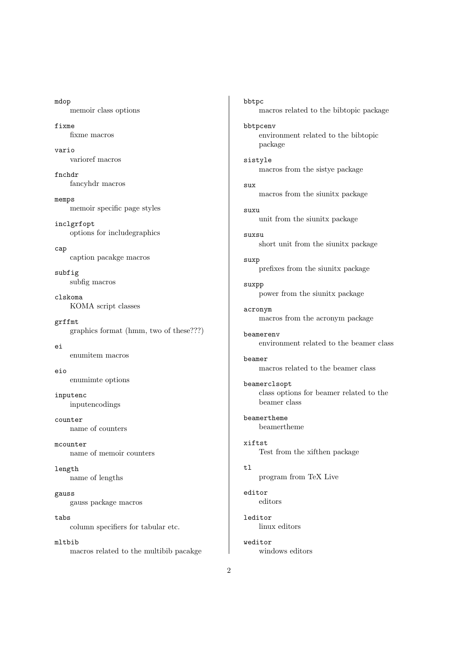mdop memoir class options fixme

fixme macros

vario varioref macros

fnchdr fancyhdr macros

memps memoir specific page styles

inclgrfopt options for includegraphics

cap caption pacakge macros

subfig subfig macros

clskoma KOMA script classes

grffmt graphics format (hmm, two of these???)

ei enumitem macros

eio enumimte options

inputenc inputencodings

counter name of counters

mcounter name of memoir counters

length name of lengths

gauss gauss package macros

tabs column specifiers for tabular etc.

mltbib macros related to the multibib pacakge bbtpc macros related to the bibtopic package bbtpcenv environment related to the bibtopic package sistyle macros from the sistye package sux macros from the siunitx package suxu unit from the siunitx package suxsu short unit from the siunitx package suxp prefixes from the siunitx package suxpp power from the siunitx package acronym macros from the acronym package beamerenv environment related to the beamer class beamer macros related to the beamer class beamerclsopt class options for beamer related to the beamer class beamertheme beamertheme xiftst Test from the xifthen package tl program from TeX Live editor editors leditor linux editors weditor windows editors